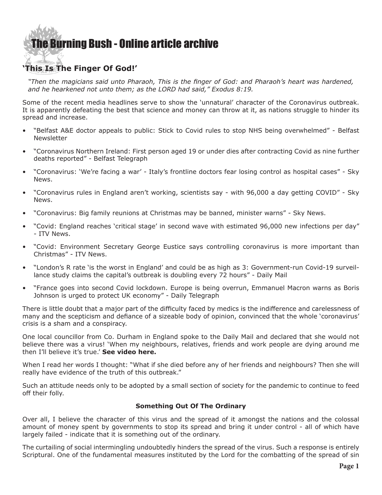## [The Burning Bush - Online article archive](http://www.ivanfoster.net)

### **'This Is The Finger Of God!'**

*"Then the magicians said unto Pharaoh, This is the finger of God: and Pharaoh's heart was hardened, and he hearkened not unto them; as the LORD had said," Exodus 8:19.*

Some of the recent media headlines serve to show the 'unnatural' character of the Coronavirus outbreak. It is apparently defeating the best that science and money can throw at it, as nations struggle to hinder its spread and increase.

- • "Belfast A&E doctor appeals to public: Stick to Covid rules to stop NHS being overwhelmed" Belfast **Newsletter**
- • "Coronavirus Northern Ireland: First person aged 19 or under dies after contracting Covid as nine further deaths reported" - Belfast Telegraph
- • "Coronavirus: 'We're facing a war' Italy's frontline doctors fear losing control as hospital cases" Sky News.
- • "Coronavirus rules in England aren't working, scientists say with 96,000 a day getting COVID" Sky News.
- • "Coronavirus: Big family reunions at Christmas may be banned, minister warns" Sky News.
- • "Covid: England reaches 'critical stage' in second wave with estimated 96,000 new infections per day" - ITV News.
- • "Covid: Environment Secretary George Eustice says controlling coronavirus is more important than Christmas" - ITV News.
- • "London's R rate 'is the worst in England' and could be as high as 3: Government-run Covid-19 surveillance study claims the capital's outbreak is doubling every 72 hours" - Daily Mail
- • "France goes into second Covid lockdown. Europe is being overrun, Emmanuel Macron warns as Boris Johnson is urged to protect UK economy" - Daily Telegraph

There is little doubt that a major part of the difficulty faced by medics is the indifference and carelessness of many and the scepticism and defiance of a sizeable body of opinion, convinced that the whole 'coronavirus' crisis is a sham and a conspiracy.

One local councillor from Co. Durham in England spoke to the Daily Mail and declared that she would not believe there was a virus! 'When my neighbours, relatives, friends and work people are dying around me then I'll believe it's true.' **[See video here](https://www.dailymail.co.uk/news/article-8883537/Coronavirus-UK-Councillor-claims-Covid-19-fake-virus-does-NOT-exist.html?ito=video_player_click).**

When I read her words I thought: "What if she died before any of her friends and neighbours? Then she will really have evidence of the truth of this outbreak."

Such an attitude needs only to be adopted by a small section of society for the pandemic to continue to feed off their folly.

#### **Something Out Of The Ordinary**

Over all, I believe the character of this virus and the spread of it amongst the nations and the colossal amount of money spent by governments to stop its spread and bring it under control - all of which have largely failed - indicate that it is something out of the ordinary.

The curtailing of social intermingling undoubtedly hinders the spread of the virus. Such a response is entirely Scriptural. One of the fundamental measures instituted by the Lord for the combatting of the spread of sin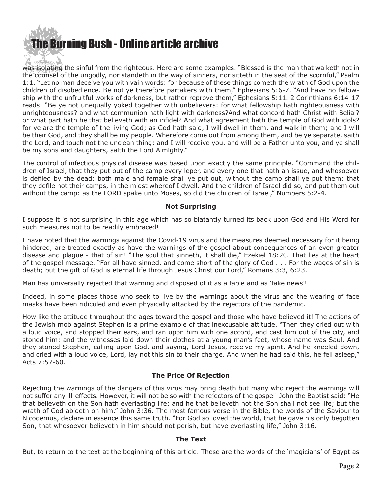# [The Burning Bush - Online article archive](http://www.ivanfoster.net)

was isolating the sinful from the righteous. Here are some examples. "Blessed is the man that walketh not in the counsel of the ungodly, nor standeth in the way of sinners, nor sitteth in the seat of the scornful," Psalm 1:1. "Let no man deceive you with vain words: for because of these things cometh the wrath of God upon the children of disobedience. Be not ye therefore partakers with them," Ephesians 5:6-7. "And have no fellowship with the unfruitful works of darkness, but rather reprove them," Ephesians 5:11. 2 Corinthians 6:14-17 reads: "Be ye not unequally yoked together with unbelievers: for what fellowship hath righteousness with unrighteousness? and what communion hath light with darkness?And what concord hath Christ with Belial? or what part hath he that believeth with an infidel? And what agreement hath the temple of God with idols? for ye are the temple of the living God; as God hath said, I will dwell in them, and walk in them; and I will be their God, and they shall be my people. Wherefore come out from among them, and be ye separate, saith the Lord, and touch not the unclean thing; and I will receive you, and will be a Father unto you, and ye shall be my sons and daughters, saith the Lord Almighty."

The control of infectious physical disease was based upon exactly the same principle. "Command the children of Israel, that they put out of the camp every leper, and every one that hath an issue, and whosoever is defiled by the dead: both male and female shall ye put out, without the camp shall ye put them; that they defile not their camps, in the midst whereof I dwell. And the children of Israel did so, and put them out without the camp: as the LORD spake unto Moses, so did the children of Israel," Numbers 5:2-4.

#### **Not Surprising**

I suppose it is not surprising in this age which has so blatantly turned its back upon God and His Word for such measures not to be readily embraced!

I have noted that the warnings against the Covid-19 virus and the measures deemed necessary for it being hindered, are treated exactly as have the warnings of the gospel about consequences of an even greater disease and plague - that of sin! "The soul that sinneth, it shall die," Ezekiel 18:20. That lies at the heart of the gospel message. "For all have sinned, and come short of the glory of God . . . For the wages of sin is death; but the gift of God is eternal life through Jesus Christ our Lord," Romans 3:3, 6:23.

Man has universally rejected that warning and disposed of it as a fable and as 'fake news'!

Indeed, in some places those who seek to live by the warnings about the virus and the wearing of face masks have been ridiculed and even physically attacked by the rejectors of the pandemic.

How like the attitude throughout the ages toward the gospel and those who have believed it! The actions of the Jewish mob against Stephen is a prime example of that inexcusable attitude. "Then they cried out with a loud voice, and stopped their ears, and ran upon him with one accord, and cast him out of the city, and stoned him: and the witnesses laid down their clothes at a young man's feet, whose name was Saul. And they stoned Stephen, calling upon God, and saying, Lord Jesus, receive my spirit. And he kneeled down, and cried with a loud voice, Lord, lay not this sin to their charge. And when he had said this, he fell asleep," Acts 7:57-60.

#### **The Price Of Rejection**

Rejecting the warnings of the dangers of this virus may bring death but many who reject the warnings will not suffer any ill-effects. However, it will not be so with the rejectors of the gospel! John the Baptist said: "He that believeth on the Son hath everlasting life: and he that believeth not the Son shall not see life; but the wrath of God abideth on him," John 3:36. The most famous verse in the Bible, the words of the Saviour to Nicodemus, declare in essence this same truth. "For God so loved the world, that he gave his only begotten Son, that whosoever believeth in him should not perish, but have everlasting life," John 3:16.

#### **The Text**

But, to return to the text at the beginning of this article. These are the words of the 'magicians' of Egypt as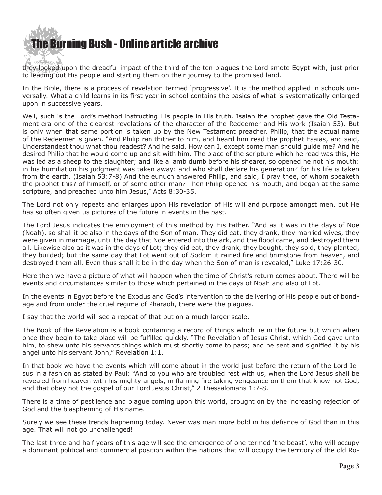

they looked upon the dreadful impact of the third of the ten plagues the Lord smote Egypt with, just prior to leading out His people and starting them on their journey to the promised land.

In the Bible, there is a process of revelation termed 'progressive'. It is the method applied in schools universally. What a child learns in its first year in school contains the basics of what is systematically enlarged upon in successive years.

Well, such is the Lord's method instructing His people in His truth. Isaiah the prophet gave the Old Testament era one of the clearest revelations of the character of the Redeemer and His work (Isaiah 53). But is only when that same portion is taken up by the New Testament preacher, Philip, that the actual name of the Redeemer is given. "And Philip ran thither to him, and heard him read the prophet Esaias, and said, Understandest thou what thou readest? And he said, How can I, except some man should guide me? And he desired Philip that he would come up and sit with him. The place of the scripture which he read was this, He was led as a sheep to the slaughter; and like a lamb dumb before his shearer, so opened he not his mouth: in his humiliation his judgment was taken away: and who shall declare his generation? for his life is taken from the earth. (Isaiah 53:7-8) And the eunuch answered Philip, and said, I pray thee, of whom speaketh the prophet this? of himself, or of some other man? Then Philip opened his mouth, and began at the same scripture, and preached unto him Jesus," Acts 8:30-35.

The Lord not only repeats and enlarges upon His revelation of His will and purpose amongst men, but He has so often given us pictures of the future in events in the past.

The Lord Jesus indicates the employment of this method by His Father. "And as it was in the days of Noe (Noah), so shall it be also in the days of the Son of man. They did eat, they drank, they married wives, they were given in marriage, until the day that Noe entered into the ark, and the flood came, and destroyed them all. Likewise also as it was in the days of Lot; they did eat, they drank, they bought, they sold, they planted, they builded; but the same day that Lot went out of Sodom it rained fire and brimstone from heaven, and destroyed them all. Even thus shall it be in the day when the Son of man is revealed," Luke 17:26-30.

Here then we have a picture of what will happen when the time of Christ's return comes about. There will be events and circumstances similar to those which pertained in the days of Noah and also of Lot.

In the events in Egypt before the Exodus and God's intervention to the delivering of His people out of bondage and from under the cruel regime of Pharaoh, there were the plagues.

I say that the world will see a repeat of that but on a much larger scale.

The Book of the Revelation is a book containing a record of things which lie in the future but which when once they begin to take place will be fulfilled quickly. "The Revelation of Jesus Christ, which God gave unto him, to shew unto his servants things which must shortly come to pass; and he sent and signified it by his angel unto his servant John," Revelation 1:1.

In that book we have the events which will come about in the world just before the return of the Lord Jesus in a fashion as stated by Paul: "And to you who are troubled rest with us, when the Lord Jesus shall be revealed from heaven with his mighty angels, in flaming fire taking vengeance on them that know not God, and that obey not the gospel of our Lord Jesus Christ," 2 Thessalonians 1:7-8.

There is a time of pestilence and plague coming upon this world, brought on by the increasing rejection of God and the blaspheming of His name.

Surely we see these trends happening today. Never was man more bold in his defiance of God than in this age. That will not go unchallenged!

The last three and half years of this age will see the emergence of one termed 'the beast', who will occupy a dominant political and commercial position within the nations that will occupy the territory of the old Ro-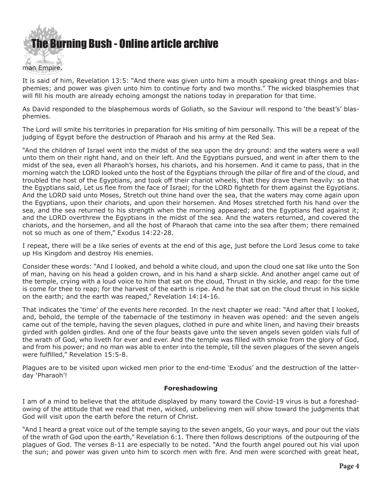

It is said of him, Revelation 13:5: "And there was given unto him a mouth speaking great things and blasphemies; and power was given unto him to continue forty and two months." The wicked blasphemies that will fill his mouth are already echoing amongst the nations today in preparation for that time.

As David responded to the blasphemous words of Goliath, so the Saviour will respond to 'the beast's' blasphemies.

The Lord will smite his territories in preparation for His smiting of him personally. This will be a repeat of the judging of Egypt before the destruction of Pharaoh and his army at the Red Sea.

"And the children of Israel went into the midst of the sea upon the dry ground: and the waters were a wall unto them on their right hand, and on their left. And the Egyptians pursued, and went in after them to the midst of the sea, even all Pharaoh's horses, his chariots, and his horsemen. And it came to pass, that in the morning watch the LORD looked unto the host of the Egyptians through the pillar of fire and of the cloud, and troubled the host of the Egyptians, and took off their chariot wheels, that they drave them heavily: so that the Egyptians said, Let us flee from the face of Israel; for the LORD fighteth for them against the Egyptians. And the LORD said unto Moses, Stretch out thine hand over the sea, that the waters may come again upon the Egyptians, upon their chariots, and upon their horsemen. And Moses stretched forth his hand over the sea, and the sea returned to his strength when the morning appeared; and the Egyptians fled against it; and the LORD overthrew the Egyptians in the midst of the sea. And the waters returned, and covered the chariots, and the horsemen, and all the host of Pharaoh that came into the sea after them; there remained not so much as one of them," Exodus 14:22-28.

I repeat, there will be a like series of events at the end of this age, just before the Lord Jesus come to take up His Kingdom and destroy His enemies.

Consider these words: "And I looked, and behold a white cloud, and upon the cloud one sat like unto the Son of man, having on his head a golden crown, and in his hand a sharp sickle. And another angel came out of the temple, crying with a loud voice to him that sat on the cloud, Thrust in thy sickle, and reap: for the time is come for thee to reap; for the harvest of the earth is ripe. And he that sat on the cloud thrust in his sickle on the earth; and the earth was reaped," Revelation 14:14-16.

That indicates the 'time' of the events here recorded. In the next chapter we read: "And after that I looked, and, behold, the temple of the tabernacle of the testimony in heaven was opened: and the seven angels came out of the temple, having the seven plagues, clothed in pure and white linen, and having their breasts girded with golden girdles. And one of the four beasts gave unto the seven angels seven golden vials full of the wrath of God, who liveth for ever and ever. And the temple was filled with smoke from the glory of God, and from his power; and no man was able to enter into the temple, till the seven plagues of the seven angels were fulfilled," Revelation 15:5-8.

Plagues are to be visited upon wicked men prior to the end-time 'Exodus' and the destruction of the latterday 'Pharaoh'!

#### **Foreshadowing**

I am of a mind to believe that the attitude displayed by many toward the Covid-19 virus is but a foreshadowing of the attitude that we read that men, wicked, unbelieving men will show toward the judgments that God will visit upon the earth before the return of Christ.

"And I heard a great voice out of the temple saying to the seven angels, Go your ways, and pour out the vials of the wrath of God upon the earth," Revelation 6:1. There then follows descriptions of the outpouring of the plagues of God. The verses 8-11 are especially to be noted. "And the fourth angel poured out his vial upon the sun; and power was given unto him to scorch men with fire. And men were scorched with great heat,